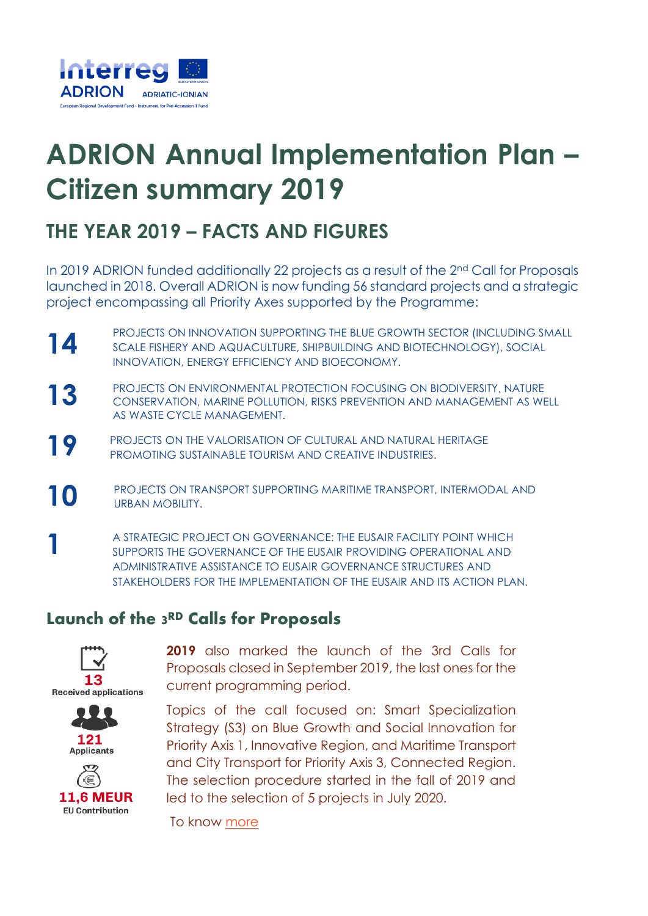

# **ADRION Annual Implementation Plan – Citizen summary 2019**

## **THE YEAR 2019 – FACTS AND FIGURES**

In 2019 ADRION funded additionally 22 projects as a result of the 2nd Call for Proposals launched in 2018. Overall ADRION is now funding 56 standard projects and a strategic project encompassing all Priority Axes supported by the Programme:

- **14** PROJECTS ON INNOVATION SUPPORTING THE BLUE GROWTH SECTOR (INCLUDING SMALL SCALE FISHERY AND AQUACULTURE, SHIPBUILDING AND BIOTECHNOLOGY), SOCIAL INNOVATION, ENERGY EFFICIENCY AND BIOECONOMY.
- **13** PROJECTS ON ENVIRONMENTAL PROTECTION FOCUSING ON BIODIVERSITY, NATURE CONSERVATION, MARINE POLLUTION, RISKS PREVENTION AND MANAGEMENT AS WELL AS WASTE CYCLE MANAGEMENT.
- **19** PROJECTS ON THE VALORISATION OF CULTURAL AND NATURAL HERITAGE PROMOTING SUSTAINABLE TOURISM AND CREATIVE INDUSTRIES.
- **10** PROJECTS ON TRANSPORT SUPPORTING MARITIME TRANSPORT, INTERMODAL AND URBAN MOBILITY.
- **1** A STRATEGIC PROJECT ON GOVERNANCE: THE EUSAIR FACILITY POINT WHICH SUPPORTS THE GOVERNANCE OF THE EUSAIR PROVIDING OPERATIONAL AND ADMINISTRATIVE ASSISTANCE TO EUSAIR GOVERNANCE STRUCTURES AND STAKEHOLDERS FOR THE IMPLEMENTATION OF THE FUSAIR AND ITS ACTION PLAN.

### Launch of the 3 RD Calls for Proposals



2019 also marked the launch of the 3rd Calls for Proposals closed in September 2019, the last ones for the current programming period.

Topics of the call focused on: Smart Specialization Strategy (S3) on Blue Growth and Social Innovation for Priority Axis 1, Innovative Region, and Maritime Transport and City Transport for Priority Axis 3, Connected Region. The selection procedure started in the fall of 2019 and led to the selection of 5 projects in July 2020.

To know [more](https://www.adrioninterreg.eu/index.php/2020/07/31/3rd-calls-for-proposals-5-strategic-projects-approved-for-funding/)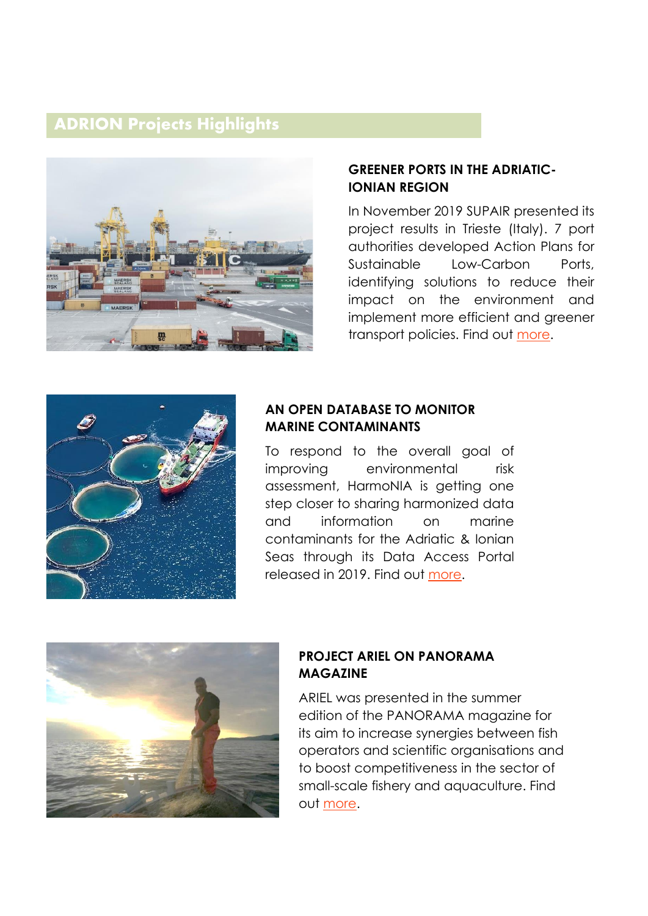#### **ADRION Projects Highlights**



#### **GREENER PORTS IN THE ADRIATIC-IONIAN REGION**

In November 2019 SUPAIR presented its project results in Trieste (Italy). 7 port authorities developed Action Plans for Sustainable Low-Carbon Ports, identifying solutions to reduce their impact on the environment and implement more efficient and greener transport policies. Find out [more.](https://www.adrioninterreg.eu/index.php/2019/10/31/the-supair-mutual-learning-workshop/)



#### **AN OPEN DATABASE TO MONITOR MARINE CONTAMINANTS**

To respond to the overall goal of improving environmental risk assessment, HarmoNIA is getting one step closer to sharing harmonized data and information on marine contaminants for the Adriatic & Ionian Seas through its Data Access Portal released in 2019. Find out [more.](https://www.adrioninterreg.eu/index.php/2019/07/11/harmonia-data-access-portal-has-been-developed-and-its-free-of-use/)



#### **PROJECT ARIEL ON PANORAMA MAGAZINE**

ARIEL was presented in the summer edition of the PANORAMA magazine for its aim to increase synergies between fish operators and scientific organisations and to boost competitiveness in the sector of small-scale fishery and aquaculture. Find out [more.](https://www.adrioninterreg.eu/index.php/2019/07/10/panorama-magazine-features-ariel-the-adrion-funded-project-supporting-small-scale-fisheries-and-aquaculture/)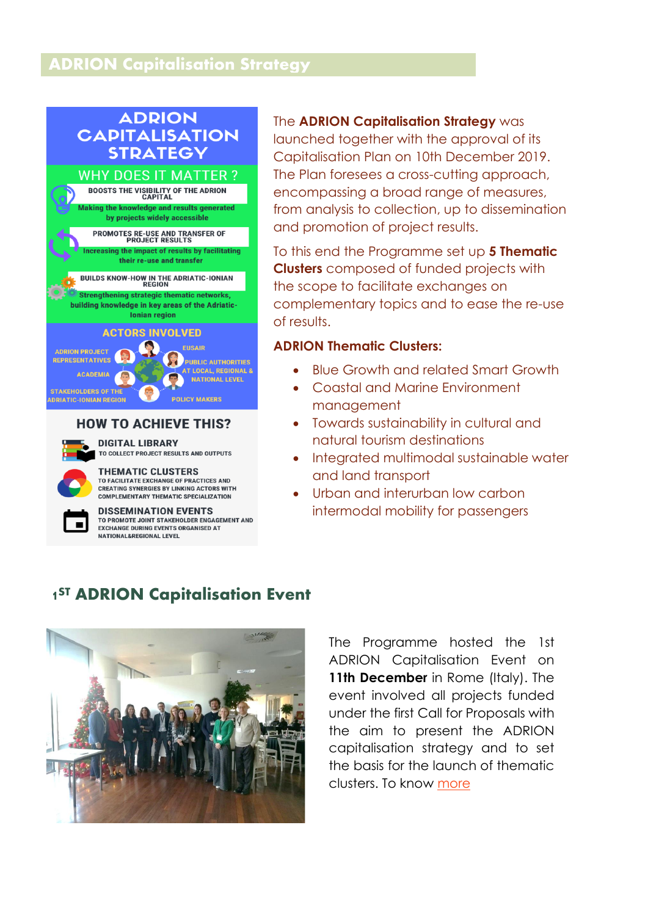#### **ADRION Capitalisation Strategy**

#### **ADRION CAPITALISATION STRATEGY**



### **HOW TO ACHIEVE THIS?**



**THEMATIC CLUSTERS** 



**DISSEMINATION EVENTS** TO PROMOTE JOINT STAKEHOLDER ENGAGEMENT AND **EXCHANGE DURING EVENTS ORGANISED AT** NATIONAL&REGIONAL LEVEL

#### The **ADRION Capitalisation Strategy** was launched together with the approval of its Capitalisation Plan on 10th December 2019. The Plan foresees a cross-cutting approach, encompassing a broad range of measures, from analysis to collection, up to dissemination and promotion of project results.

To this end the Programme set up **5 Thematic Clusters** composed of funded projects with the scope to facilitate exchanges on complementary topics and to ease the re-use of results.

#### **ADRION Thematic Clusters:**

- Blue Growth and related Smart Growth
- Coastal and Marine Environment management
- Towards sustainability in cultural and natural tourism destinations
- Integrated multimodal sustainable water and land transport
- Urban and interurban low carbon intermodal mobility for passengers

### 1<sup>ST</sup> ADRION Capitalisation Event



The Programme hosted the 1st ADRION Capitalisation Event on 11th December in Rome (Italy). The event involved all projects funded under the first Call for Proposals with the aim to present the ADRION capitalisation strategy and to set the basis for the launch of thematic clusters. To know [more](https://www.adrioninterreg.eu/index.php/2020/02/14/adrion-capitalisation-kicks-off/)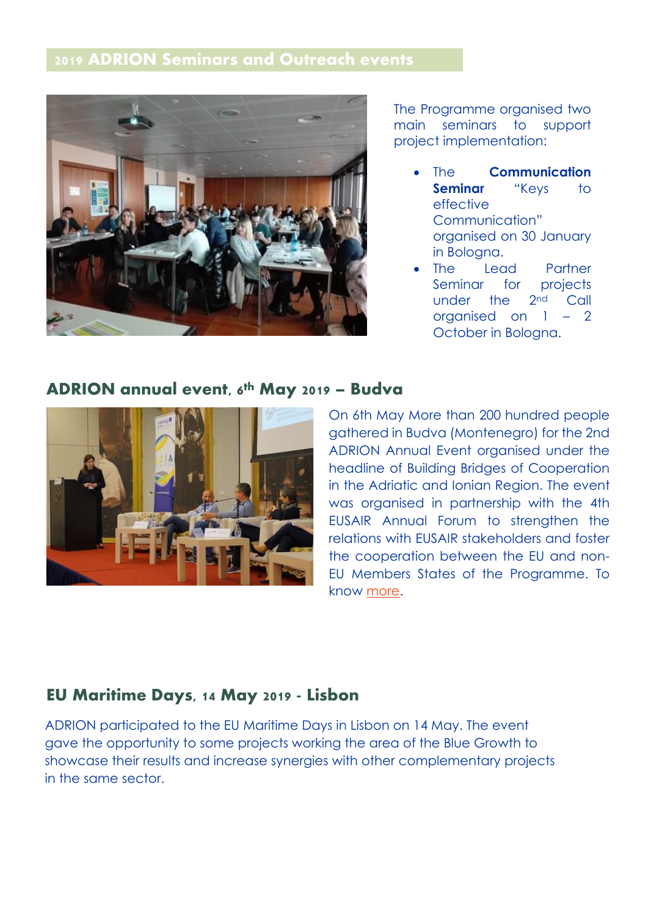### **2019 ADRION Seminars and Outreach events**



The Programme organised two main seminars to support project implementation:

- The **Communication Seminar** "Keys to effective Communication" organised on 30 January in Bologna.
- The Lead Partner Seminar for projects under the 2nd Call organised on 1 – 2 October in Bologna.

#### ADRION annual event, 6<sup>th</sup> May 2019 – Budva



On 6th May More than 200 hundred people gathered in Budva (Montenegro) for the 2nd ADRION Annual Event organised under the headline of Building Bridges of Cooperation in the Adriatic and Ionian Region. The event was organised in partnership with the 4th EUSAIR Annual Forum to strengthen the relations with EUSAIR stakeholders and foster the cooperation between the EU and non-EU Members States of the Programme. To know [more.](https://www.adrioninterreg.eu/index.php/2019/03/06/save-the-date-adrion-programme-annual-event-6-may-2019/)

#### **EU Maritime Days, 14 May 2019 - Lisbon**

ADRION participated to the EU Maritime Days in Lisbon on 14 May. The event gave the opportunity to some projects working the area of the Blue Growth to showcase their results and increase synergies with other complementary projects in the same sector.